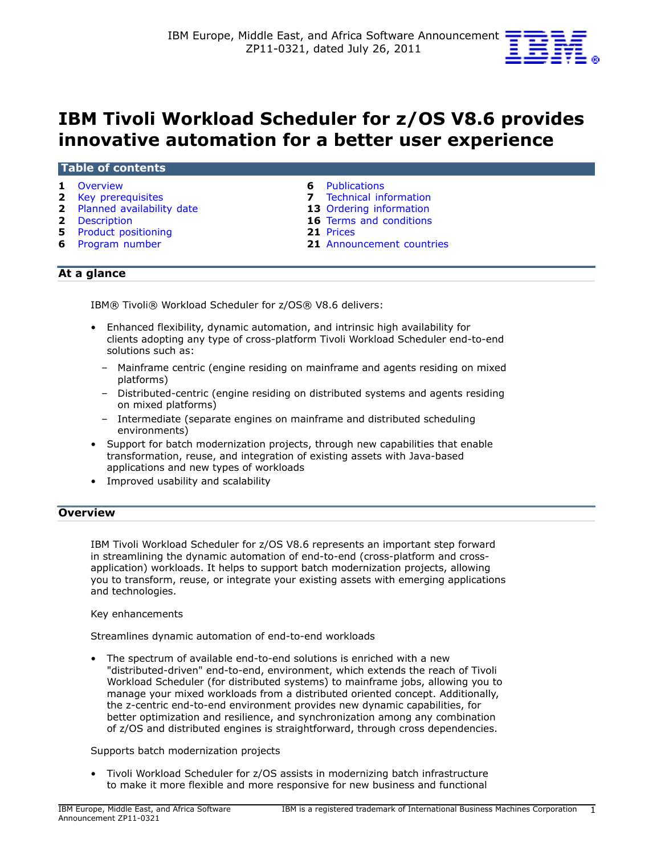

# IBM Tivoli Workload Scheduler for z/OS V8.6 provides innovative automation for a better user experience

#### Table of contents

- 
- 
- 2 [Planned availability date](#page-1-1) 13 Ordering information
- 
- 5 Product positioning
- 
- 1 [Overview](#page-0-0) **1** Overview **6** Publications
- **2** [Key prerequisites](#page-1-0) **7** Technical information
	-
- 2 [Description](#page-1-2) 16 Terms and conditions<br>
21 Prices<br>
21 Prices
	-
- 6 [Program number](#page-5-1) 21 [Announcement countries](#page-20-1)

# At a glance

IBM® Tivoli® Workload Scheduler for z/OS® V8.6 delivers:

- Enhanced flexibility, dynamic automation, and intrinsic high availability for clients adopting any type of cross-platform Tivoli Workload Scheduler end-to-end solutions such as:
	- Mainframe centric (engine residing on mainframe and agents residing on mixed platforms)
	- Distributed-centric (engine residing on distributed systems and agents residing on mixed platforms)
	- Intermediate (separate engines on mainframe and distributed scheduling environments)
- Support for batch modernization projects, through new capabilities that enable transformation, reuse, and integration of existing assets with Java-based applications and new types of workloads
- Improved usability and scalability

# <span id="page-0-0"></span>**Overview**

IBM Tivoli Workload Scheduler for z/OS V8.6 represents an important step forward in streamlining the dynamic automation of end-to-end (cross-platform and crossapplication) workloads. It helps to support batch modernization projects, allowing you to transform, reuse, or integrate your existing assets with emerging applications and technologies.

#### Key enhancements

Streamlines dynamic automation of end-to-end workloads

• The spectrum of available end-to-end solutions is enriched with a new "distributed-driven" end-to-end, environment, which extends the reach of Tivoli Workload Scheduler (for distributed systems) to mainframe jobs, allowing you to manage your mixed workloads from a distributed oriented concept. Additionally, the z-centric end-to-end environment provides new dynamic capabilities, for better optimization and resilience, and synchronization among any combination of z/OS and distributed engines is straightforward, through cross dependencies.

#### Supports batch modernization projects

• Tivoli Workload Scheduler for z/OS assists in modernizing batch infrastructure to make it more flexible and more responsive for new business and functional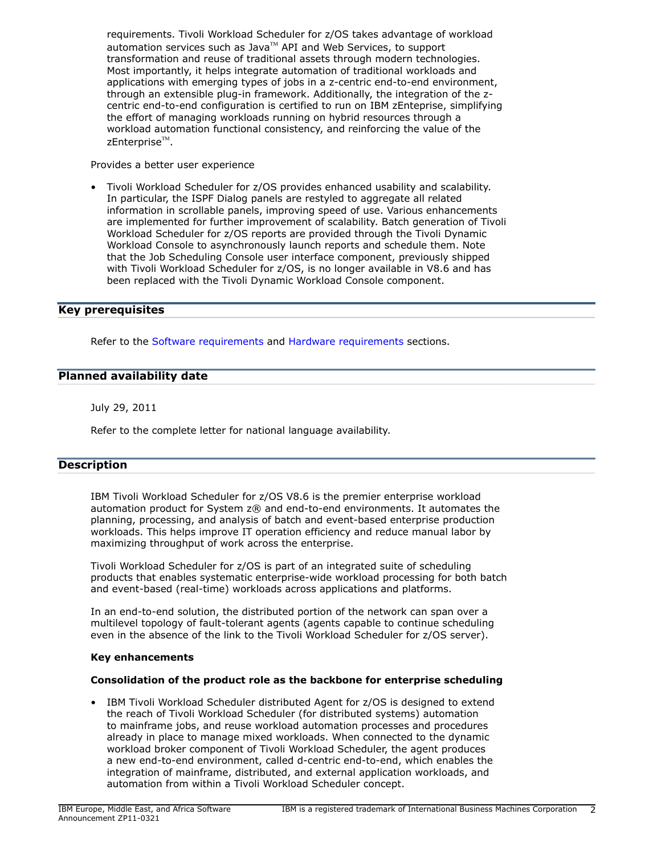requirements. Tivoli Workload Scheduler for z/OS takes advantage of workload automation services such as Java $\mathbb{M}$  API and Web Services, to support transformation and reuse of traditional assets through modern technologies. Most importantly, it helps integrate automation of traditional workloads and applications with emerging types of jobs in a z-centric end-to-end environment, through an extensible plug-in framework. Additionally, the integration of the zcentric end-to-end configuration is certified to run on IBM zEnteprise, simplifying the effort of managing workloads running on hybrid resources through a workload automation functional consistency, and reinforcing the value of the zEnterprise $^{\text{\tiny{\textsf{TM}}}}$ .

Provides a better user experience

• Tivoli Workload Scheduler for z/OS provides enhanced usability and scalability. In particular, the ISPF Dialog panels are restyled to aggregate all related information in scrollable panels, improving speed of use. Various enhancements are implemented for further improvement of scalability. Batch generation of Tivoli Workload Scheduler for z/OS reports are provided through the Tivoli Dynamic Workload Console to asynchronously launch reports and schedule them. Note that the Job Scheduling Console user interface component, previously shipped with Tivoli Workload Scheduler for z/OS, is no longer available in V8.6 and has been replaced with the Tivoli Dynamic Workload Console component.

# <span id="page-1-0"></span>Key prerequisites

Refer to the [Software requirements](#page-6-1) and [Hardware requirements](#page-6-2) sections.

# <span id="page-1-1"></span>Planned availability date

July 29, 2011

Refer to the complete letter for national language availability.

# <span id="page-1-2"></span>**Description**

IBM Tivoli Workload Scheduler for z/OS V8.6 is the premier enterprise workload automation product for System z® and end-to-end environments. It automates the planning, processing, and analysis of batch and event-based enterprise production workloads. This helps improve IT operation efficiency and reduce manual labor by maximizing throughput of work across the enterprise.

Tivoli Workload Scheduler for z/OS is part of an integrated suite of scheduling products that enables systematic enterprise-wide workload processing for both batch and event-based (real-time) workloads across applications and platforms.

In an end-to-end solution, the distributed portion of the network can span over a multilevel topology of fault-tolerant agents (agents capable to continue scheduling even in the absence of the link to the Tivoli Workload Scheduler for z/OS server).

#### Key enhancements

# Consolidation of the product role as the backbone for enterprise scheduling

• IBM Tivoli Workload Scheduler distributed Agent for z/OS is designed to extend the reach of Tivoli Workload Scheduler (for distributed systems) automation to mainframe jobs, and reuse workload automation processes and procedures already in place to manage mixed workloads. When connected to the dynamic workload broker component of Tivoli Workload Scheduler, the agent produces a new end-to-end environment, called d-centric end-to-end, which enables the integration of mainframe, distributed, and external application workloads, and automation from within a Tivoli Workload Scheduler concept.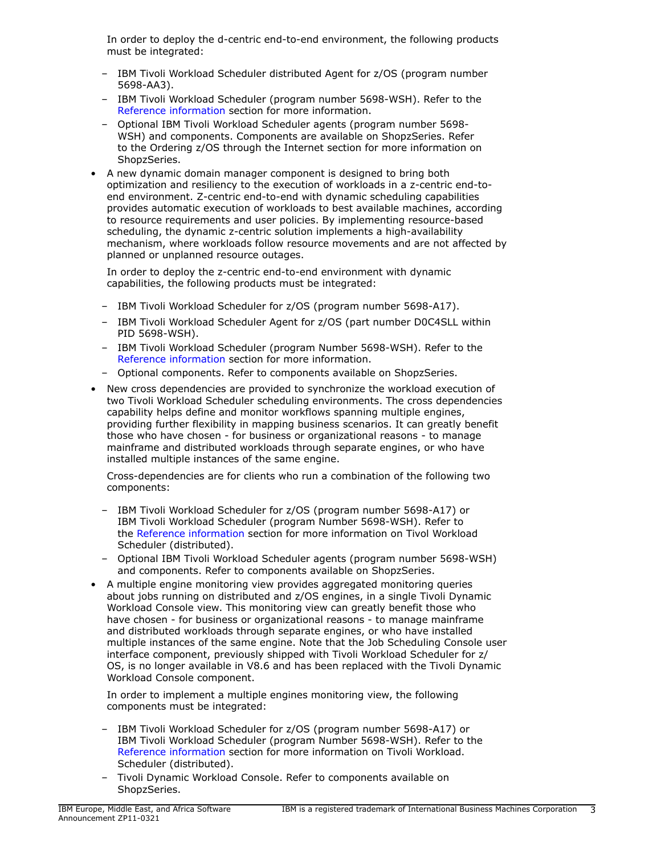In order to deploy the d-centric end-to-end environment, the following products must be integrated:

- IBM Tivoli Workload Scheduler distributed Agent for z/OS (program number 5698-AA3).
- IBM Tivoli Workload Scheduler (program number 5698-WSH). Refer to the [Reference information](#page-4-1) section for more information.
- Optional IBM Tivoli Workload Scheduler agents (program number 5698- WSH) and components. Components are available on ShopzSeries. Refer to the Ordering z/OS through the Internet section for more information on ShopzSeries.
- A new dynamic domain manager component is designed to bring both optimization and resiliency to the execution of workloads in a z-centric end-toend environment. Z-centric end-to-end with dynamic scheduling capabilities provides automatic execution of workloads to best available machines, according to resource requirements and user policies. By implementing resource-based scheduling, the dynamic z-centric solution implements a high-availability mechanism, where workloads follow resource movements and are not affected by planned or unplanned resource outages.

In order to deploy the z-centric end-to-end environment with dynamic capabilities, the following products must be integrated:

- IBM Tivoli Workload Scheduler for z/OS (program number 5698-A17).
- IBM Tivoli Workload Scheduler Agent for z/OS (part number D0C4SLL within PID 5698-WSH).
- IBM Tivoli Workload Scheduler (program Number 5698-WSH). Refer to the [Reference information](#page-4-1) section for more information.
- Optional components. Refer to components available on ShopzSeries.
- New cross dependencies are provided to synchronize the workload execution of two Tivoli Workload Scheduler scheduling environments. The cross dependencies capability helps define and monitor workflows spanning multiple engines, providing further flexibility in mapping business scenarios. It can greatly benefit those who have chosen - for business or organizational reasons - to manage mainframe and distributed workloads through separate engines, or who have installed multiple instances of the same engine.

Cross-dependencies are for clients who run a combination of the following two components:

- IBM Tivoli Workload Scheduler for z/OS (program number 5698-A17) or IBM Tivoli Workload Scheduler (program Number 5698-WSH). Refer to the [Reference information](#page-4-1) section for more information on Tivol Workload Scheduler (distributed).
- Optional IBM Tivoli Workload Scheduler agents (program number 5698-WSH) and components. Refer to components available on ShopzSeries.
- A multiple engine monitoring view provides aggregated monitoring queries about jobs running on distributed and z/OS engines, in a single Tivoli Dynamic Workload Console view. This monitoring view can greatly benefit those who have chosen - for business or organizational reasons - to manage mainframe and distributed workloads through separate engines, or who have installed multiple instances of the same engine. Note that the Job Scheduling Console user interface component, previously shipped with Tivoli Workload Scheduler for z/ OS, is no longer available in V8.6 and has been replaced with the Tivoli Dynamic Workload Console component.

In order to implement a multiple engines monitoring view, the following components must be integrated:

- IBM Tivoli Workload Scheduler for z/OS (program number 5698-A17) or IBM Tivoli Workload Scheduler (program Number 5698-WSH). Refer to the [Reference information](#page-4-1) section for more information on Tivoli Workload. Scheduler (distributed).
- Tivoli Dynamic Workload Console. Refer to components available on ShopzSeries.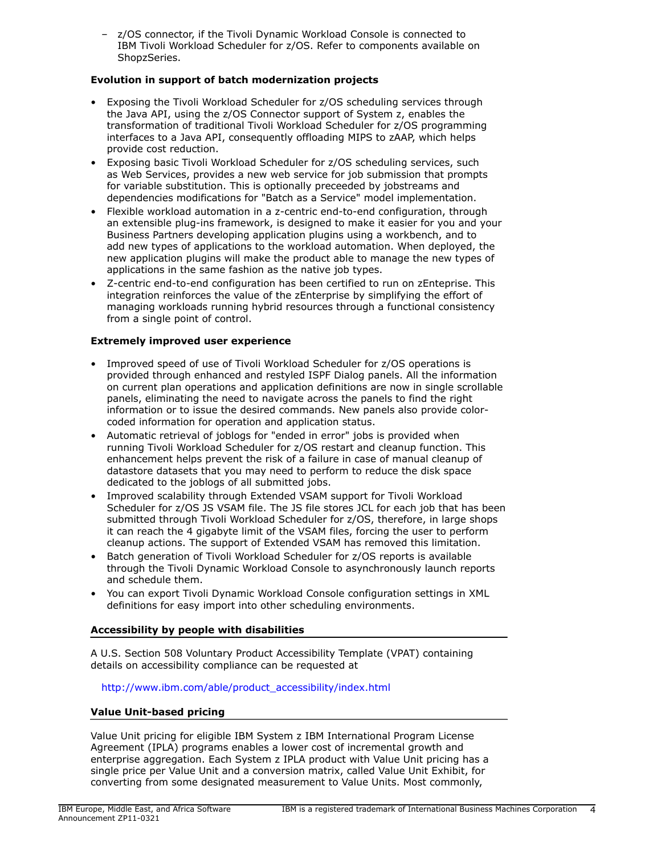– z/OS connector, if the Tivoli Dynamic Workload Console is connected to IBM Tivoli Workload Scheduler for z/OS. Refer to components available on ShopzSeries.

# Evolution in support of batch modernization projects

- Exposing the Tivoli Workload Scheduler for z/OS scheduling services through the Java API, using the z/OS Connector support of System z, enables the transformation of traditional Tivoli Workload Scheduler for z/OS programming interfaces to a Java API, consequently offloading MIPS to zAAP, which helps provide cost reduction.
- Exposing basic Tivoli Workload Scheduler for z/OS scheduling services, such as Web Services, provides a new web service for job submission that prompts for variable substitution. This is optionally preceeded by jobstreams and dependencies modifications for "Batch as a Service" model implementation.
- Flexible workload automation in a z-centric end-to-end configuration, through an extensible plug-ins framework, is designed to make it easier for you and your Business Partners developing application plugins using a workbench, and to add new types of applications to the workload automation. When deployed, the new application plugins will make the product able to manage the new types of applications in the same fashion as the native job types.
- Z-centric end-to-end configuration has been certified to run on zEnteprise. This integration reinforces the value of the zEnterprise by simplifying the effort of managing workloads running hybrid resources through a functional consistency from a single point of control.

# Extremely improved user experience

- Improved speed of use of Tivoli Workload Scheduler for z/OS operations is provided through enhanced and restyled ISPF Dialog panels. All the information on current plan operations and application definitions are now in single scrollable panels, eliminating the need to navigate across the panels to find the right information or to issue the desired commands. New panels also provide colorcoded information for operation and application status.
- Automatic retrieval of joblogs for "ended in error" jobs is provided when running Tivoli Workload Scheduler for z/OS restart and cleanup function. This enhancement helps prevent the risk of a failure in case of manual cleanup of datastore datasets that you may need to perform to reduce the disk space dedicated to the joblogs of all submitted jobs.
- Improved scalability through Extended VSAM support for Tivoli Workload Scheduler for z/OS JS VSAM file. The JS file stores JCL for each job that has been submitted through Tivoli Workload Scheduler for z/OS, therefore, in large shops it can reach the 4 gigabyte limit of the VSAM files, forcing the user to perform cleanup actions. The support of Extended VSAM has removed this limitation.
- Batch generation of Tivoli Workload Scheduler for z/OS reports is available through the Tivoli Dynamic Workload Console to asynchronously launch reports and schedule them.
- You can export Tivoli Dynamic Workload Console configuration settings in XML definitions for easy import into other scheduling environments.

# Accessibility by people with disabilities

A U.S. Section 508 Voluntary Product Accessibility Template (VPAT) containing details on accessibility compliance can be requested at

# [http://www.ibm.com/able/product\\_accessibility/index.html](http://www.ibm.com/able/product_accessibility/index.html)

# Value Unit-based pricing

Value Unit pricing for eligible IBM System z IBM International Program License Agreement (IPLA) programs enables a lower cost of incremental growth and enterprise aggregation. Each System z IPLA product with Value Unit pricing has a single price per Value Unit and a conversion matrix, called Value Unit Exhibit, for converting from some designated measurement to Value Units. Most commonly,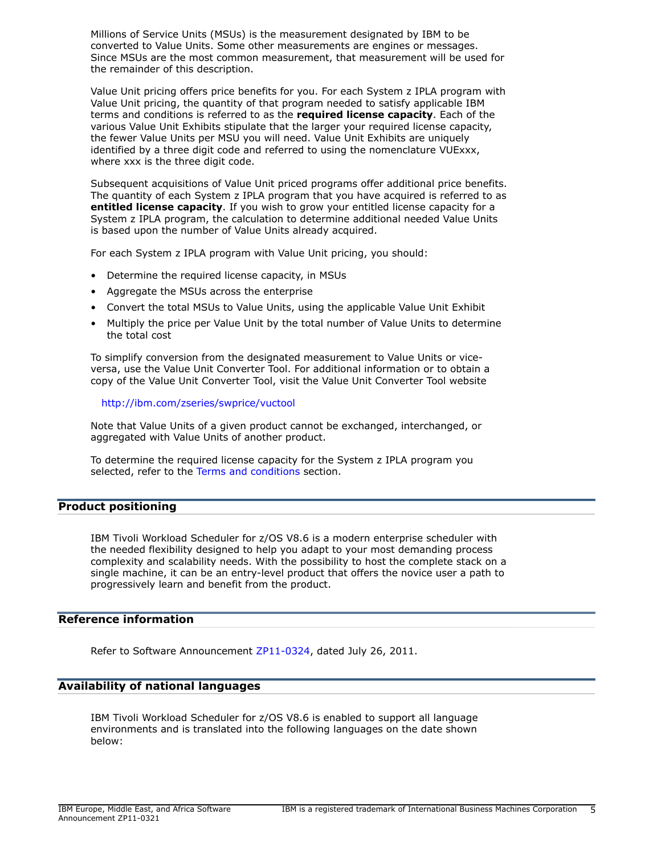Millions of Service Units (MSUs) is the measurement designated by IBM to be converted to Value Units. Some other measurements are engines or messages. Since MSUs are the most common measurement, that measurement will be used for the remainder of this description.

Value Unit pricing offers price benefits for you. For each System z IPLA program with Value Unit pricing, the quantity of that program needed to satisfy applicable IBM terms and conditions is referred to as the required license capacity. Each of the various Value Unit Exhibits stipulate that the larger your required license capacity, the fewer Value Units per MSU you will need. Value Unit Exhibits are uniquely identified by a three digit code and referred to using the nomenclature VUExxx, where xxx is the three digit code.

Subsequent acquisitions of Value Unit priced programs offer additional price benefits. The quantity of each System z IPLA program that you have acquired is referred to as entitled license capacity. If you wish to grow your entitled license capacity for a System z IPLA program, the calculation to determine additional needed Value Units is based upon the number of Value Units already acquired.

For each System z IPLA program with Value Unit pricing, you should:

- Determine the required license capacity, in MSUs
- Aggregate the MSUs across the enterprise
- Convert the total MSUs to Value Units, using the applicable Value Unit Exhibit
- Multiply the price per Value Unit by the total number of Value Units to determine the total cost

To simplify conversion from the designated measurement to Value Units or viceversa, use the Value Unit Converter Tool. For additional information or to obtain a copy of the Value Unit Converter Tool, visit the Value Unit Converter Tool website

### <http://ibm.com/zseries/swprice/vuctool>

Note that Value Units of a given product cannot be exchanged, interchanged, or aggregated with Value Units of another product.

To determine the required license capacity for the System z IPLA program you selected, refer to the [Terms and conditions](#page-15-0) section.

# <span id="page-4-0"></span>Product positioning

IBM Tivoli Workload Scheduler for z/OS V8.6 is a modern enterprise scheduler with the needed flexibility designed to help you adapt to your most demanding process complexity and scalability needs. With the possibility to host the complete stack on a single machine, it can be an entry-level product that offers the novice user a path to progressively learn and benefit from the product.

# <span id="page-4-1"></span>Reference information

Refer to Software Announcement [ZP11-0324](http://www.ibm.com/common/ssi/cgi-bin/ssialias?infotype=an&subtype=ca&appname=gpateam&supplier=877&letternum=ENUSZP11-0324), dated July 26, 2011.

# Availability of national languages

IBM Tivoli Workload Scheduler for z/OS V8.6 is enabled to support all language environments and is translated into the following languages on the date shown below: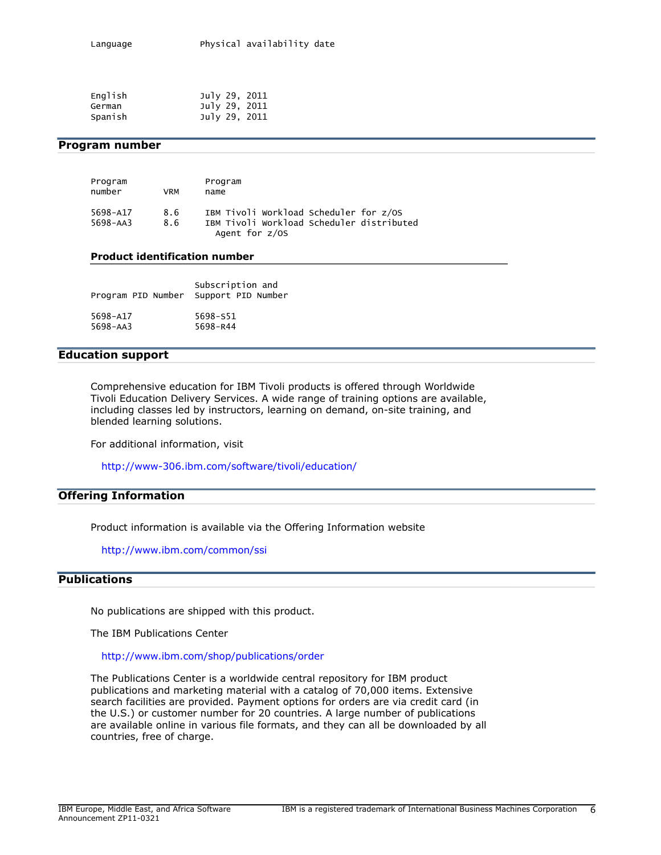| English | July 29, 2011 |  |
|---------|---------------|--|
| German  | July 29, 2011 |  |
| Spanish | July 29, 2011 |  |

### <span id="page-5-1"></span>Program number

| Program  |     | Program                                   |
|----------|-----|-------------------------------------------|
| number   | VRM | name                                      |
| 5698-A17 | 8.6 | IBM Tivoli Workload Scheduler for z/OS    |
| 5698-AA3 | 8.6 | IBM Tivoli Workload Scheduler distributed |
|          |     | Agent for $z/0S$                          |

#### Product identification number

| Program PID Number | Subscription and<br>Support PID Number |
|--------------------|----------------------------------------|
| 5698-A17           | 5698-S51                               |
| $5698 - AA3$       | 5698-R44                               |

### Education support

Comprehensive education for IBM Tivoli products is offered through Worldwide Tivoli Education Delivery Services. A wide range of training options are available, including classes led by instructors, learning on demand, on-site training, and blended learning solutions.

For additional information, visit

<http://www-306.ibm.com/software/tivoli/education/>

### Offering Information

Product information is available via the Offering Information website

<http://www.ibm.com/common/ssi>

# <span id="page-5-0"></span>**Publications**

No publications are shipped with this product.

The IBM Publications Center

#### <http://www.ibm.com/shop/publications/order>

The Publications Center is a worldwide central repository for IBM product publications and marketing material with a catalog of 70,000 items. Extensive search facilities are provided. Payment options for orders are via credit card (in the U.S.) or customer number for 20 countries. A large number of publications are available online in various file formats, and they can all be downloaded by all countries, free of charge.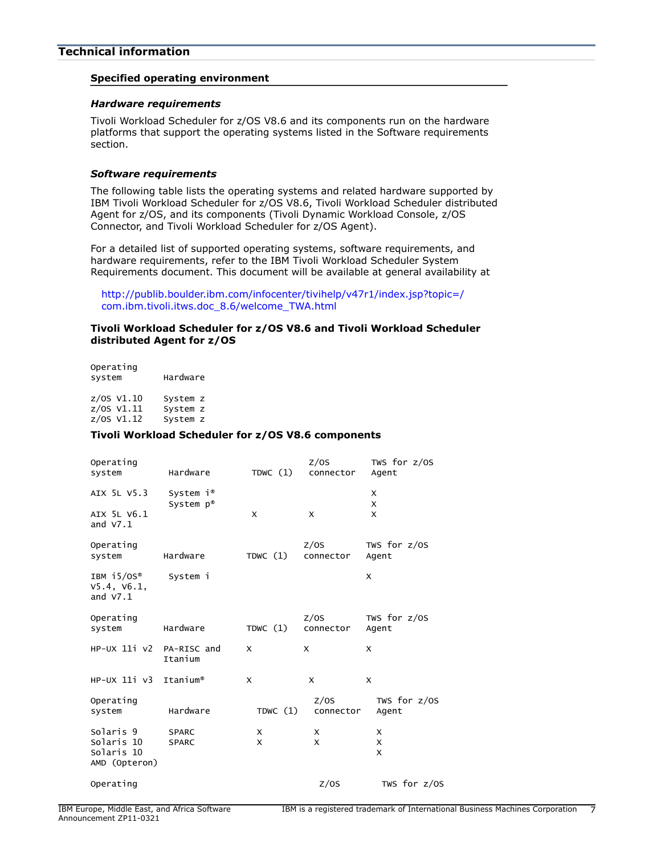# <span id="page-6-0"></span>Specified operating environment

#### <span id="page-6-2"></span>*Hardware requirements*

Tivoli Workload Scheduler for z/OS V8.6 and its components run on the hardware platforms that support the operating systems listed in the Software requirements section.

### <span id="page-6-1"></span>*Software requirements*

The following table lists the operating systems and related hardware supported by IBM Tivoli Workload Scheduler for z/OS V8.6, Tivoli Workload Scheduler distributed Agent for z/OS, and its components (Tivoli Dynamic Workload Console, z/OS Connector, and Tivoli Workload Scheduler for z/OS Agent).

For a detailed list of supported operating systems, software requirements, and hardware requirements, refer to the IBM Tivoli Workload Scheduler System Requirements document. This document will be available at general availability at

[http://publib.boulder.ibm.com/infocenter/tivihelp/v47r1/index.jsp?topic=/](http://publib.boulder.ibm.com/infocenter/tivihelp/v47r1/index.jsp?topic=/com.ibm.tivoli.itws.doc_8.6/welcome_TWA.html) [com.ibm.tivoli.itws.doc\\_8.6/welcome\\_TWA.html](http://publib.boulder.ibm.com/infocenter/tivihelp/v47r1/index.jsp?topic=/com.ibm.tivoli.itws.doc_8.6/welcome_TWA.html)

### Tivoli Workload Scheduler for z/OS V8.6 and Tivoli Workload Scheduler distributed Agent for z/OS

Operating system Hardware

z/OS V1.10 System z  $z/0s$  V1.11 z/OS V1.12 System z

#### Tivoli Workload Scheduler for z/OS V8.6 components

| Operating<br>system                                    | Hardware                                       | TDWC $(1)$ | Z/OS<br>connector         | TWS for $z/0S$<br>Agent |
|--------------------------------------------------------|------------------------------------------------|------------|---------------------------|-------------------------|
| AIX 5L V5.3                                            | System $i^{\circ}$<br>System $p^{\circledast}$ |            |                           | X<br>X                  |
| AIX 5L V6.1<br>and $V7.1$                              |                                                | X          | $\boldsymbol{\mathsf{x}}$ | X                       |
| Operating<br>system                                    | Hardware                                       | TDWC $(1)$ | Z/OS<br>connector         | TWS for $z/OS$<br>Agent |
| IBM $15/0S^{\circ}$<br>V5.4, V6.1,<br>and $V7.1$       | System i                                       |            |                           | X                       |
| Operating<br>system                                    | Hardware                                       | TDWC $(1)$ | Z/OS<br>connector         | TWS for $z/0S$<br>Agent |
| $HP-UX$ 11 $\dot{V}$ $V$                               | PA-RISC and<br>Itanium                         | X          | X                         | X                       |
| $HP-UX$ 11 $i$ $v3$                                    | Itanium®                                       | X          | X                         | X                       |
| Operating<br>system                                    | Hardware                                       | TDWC $(1)$ | Z/OS<br>connector         | TWS for $z/0S$<br>Agent |
| Solaris 9<br>Solaris 10<br>Solaris 10<br>AMD (Opteron) | <b>SPARC</b><br><b>SPARC</b>                   | X<br>X     | X<br>X                    | X<br>X<br>X             |
| Operating                                              |                                                |            | Z/OS                      | TWS for z/OS            |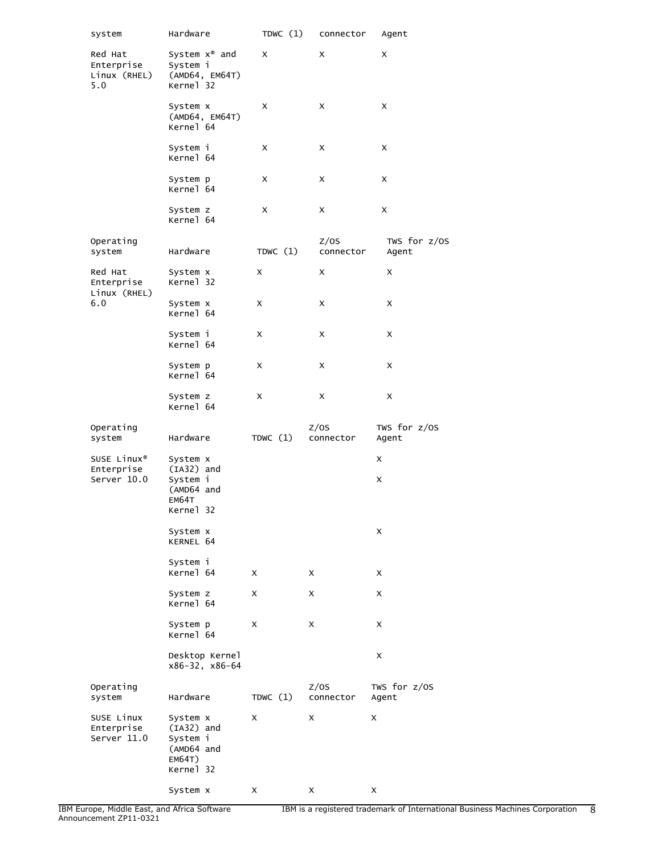| system                                       | Hardware                                                                  | TDWC $(1)$ | connector         | Agent                   |
|----------------------------------------------|---------------------------------------------------------------------------|------------|-------------------|-------------------------|
| Red Hat<br>Enterprise<br>Linux (RHEL)<br>5.0 | System $x^{\circledast}$ and<br>System i<br>(AMD64, EM64T)<br>Kernel 32   | X          | X                 | X                       |
|                                              | System x<br>(AMD64, EM64T)<br>Kernel 64                                   | X          | X                 | X                       |
|                                              | System i<br>Kernel 64                                                     | X          | X                 | X                       |
|                                              | System p<br>Kernel 64                                                     | X          | X                 | X                       |
|                                              | System z<br>Kernel 64                                                     | X          | X                 | X                       |
| Operating<br>system                          | Hardware                                                                  | TDWC $(1)$ | Z/OS<br>connector | TWS for z/OS<br>Agent   |
| Red Hat<br>Enterprise<br>Linux (RHEL)        | System x<br>Kernel 32                                                     | x          | X                 | X                       |
| 6.0                                          | System x<br>Kernel 64                                                     | x          | X                 | X                       |
|                                              | System i<br>Kernel 64                                                     | x          | X                 | X                       |
|                                              | System p<br>Kernel 64                                                     | x          | X                 | X                       |
|                                              | System z<br>Kernel 64                                                     | x          | x                 | X                       |
| Operating<br>system                          | Hardware                                                                  | TDWC $(1)$ | Z/OS<br>connector | TWS for $z/0S$<br>Agent |
| SUSE Linux <sup>®</sup>                      | System x<br>$(IA32)$ and                                                  |            |                   | x                       |
| Enterprise<br>Server 10.0                    | System i<br>(AMD64 and<br>EM64T<br>Kernel 32                              |            |                   | X                       |
|                                              | System x<br>KERNEL 64                                                     |            |                   | x                       |
|                                              | System i<br>Kernel 64                                                     | X          | $\times$          | X                       |
|                                              | System z<br>Kernel 64                                                     | x          | X                 | X                       |
|                                              | System p<br>Kernel 64                                                     | x          | X                 | X                       |
|                                              | Desktop Kernel<br>x86-32, x86-64                                          |            |                   | X                       |
| Operating<br>system                          | Hardware                                                                  | TDWC $(1)$ | Z/OS<br>connector | TWS for $z/OS$<br>Agent |
| SUSE Linux<br>Enterprise<br>Server 11.0      | System x<br>$(IA32)$ and<br>System i<br>(AMD64 and<br>EM64T)<br>Kernel 32 | X          | x                 | X                       |
|                                              | System x                                                                  | x          | X                 | X                       |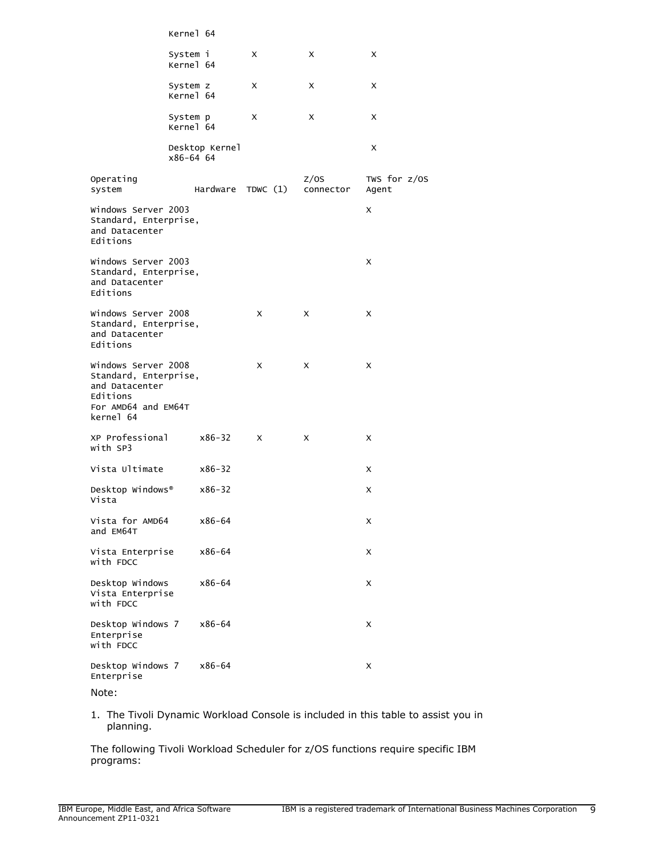|                                                                                                                | Kernel 64             |                |                   |                   |                         |
|----------------------------------------------------------------------------------------------------------------|-----------------------|----------------|-------------------|-------------------|-------------------------|
|                                                                                                                | System i<br>Kernel 64 |                | X                 | X                 | X                       |
|                                                                                                                | System z<br>Kernel 64 |                | X                 | X                 | X                       |
|                                                                                                                | System p<br>Kernel 64 |                | x                 | X                 | X                       |
|                                                                                                                | x86-64 64             | Desktop Kernel |                   |                   | x                       |
| Operating<br>system                                                                                            |                       |                | Hardware TDWC (1) | Z/OS<br>connector | TWS for $z/0S$<br>Agent |
| Windows Server 2003<br>Standard, Enterprise,<br>and Datacenter<br>Editions                                     |                       |                |                   |                   | X                       |
| Windows Server 2003<br>Standard, Enterprise,<br>and Datacenter<br>Editions                                     |                       |                |                   |                   | X                       |
| Windows Server 2008<br>Standard, Enterprise,<br>and Datacenter<br>Editions                                     |                       |                | X                 | X                 | X                       |
| Windows Server 2008<br>Standard, Enterprise,<br>and Datacenter<br>Editions<br>For AMD64 and EM64T<br>kernel 64 |                       |                | X                 | X                 | X                       |
| XP Professional<br>with SP3                                                                                    |                       | $x86 - 32$     | X                 | X                 | X                       |
| Vista Ultimate                                                                                                 |                       | $x86 - 32$     |                   |                   | X                       |
| Desktop Windows®<br>Vista                                                                                      |                       | $x86 - 32$     |                   |                   | X                       |
| Vista for AMD64<br>and EM64T                                                                                   |                       | $x86 - 64$     |                   |                   | х                       |
| Vista Enterprise<br>with FDCC                                                                                  |                       | x86-64         |                   |                   | X                       |
| Desktop Windows<br>Vista Enterprise<br>with FDCC                                                               |                       | $x86 - 64$     |                   |                   | X                       |
| Desktop Windows 7<br>Enterprise<br>with FDCC                                                                   |                       | x86-64         |                   |                   | X                       |
| Desktop Windows 7<br>Enterprise                                                                                |                       | x86-64         |                   |                   | x                       |
| $N = +$                                                                                                        |                       |                |                   |                   |                         |

- Note:
- 1. The Tivoli Dynamic Workload Console is included in this table to assist you in planning.

The following Tivoli Workload Scheduler for z/OS functions require specific IBM programs: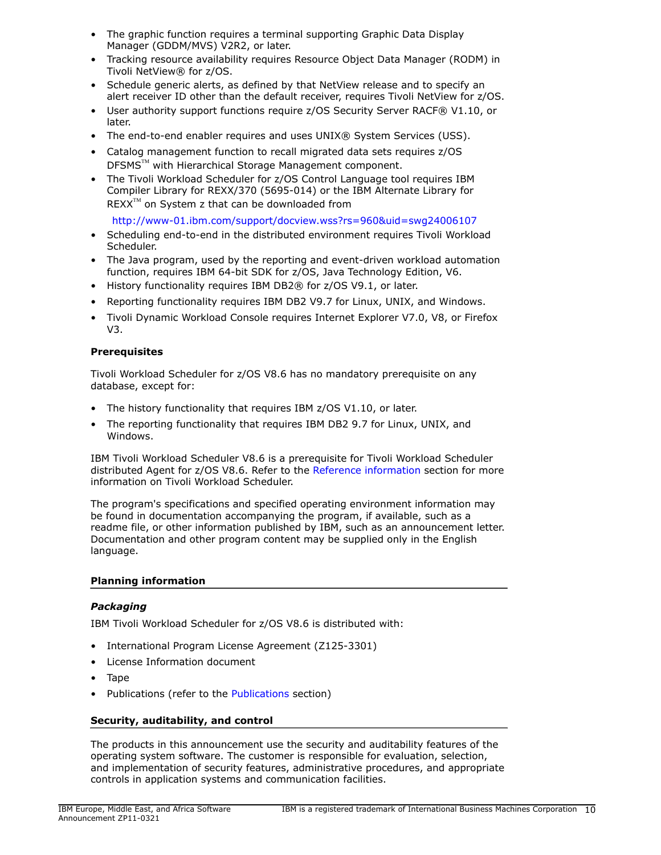- The graphic function requires a terminal supporting Graphic Data Display Manager (GDDM/MVS) V2R2, or later.
- Tracking resource availability requires Resource Object Data Manager (RODM) in Tivoli NetView® for z/OS.
- Schedule generic alerts, as defined by that NetView release and to specify an alert receiver ID other than the default receiver, requires Tivoli NetView for z/OS.
- User authority support functions require z/OS Security Server RACF® V1.10, or later.
- The end-to-end enabler requires and uses UNIX® System Services (USS).
- Catalog management function to recall migrated data sets requires z/OS DFSMS™ with Hierarchical Storage Management component.
- The Tivoli Workload Scheduler for z/OS Control Language tool requires IBM Compiler Library for REXX/370 (5695-014) or the IBM Alternate Library for  $REXX^{TM}$  on System z that can be downloaded from

<http://www-01.ibm.com/support/docview.wss?rs=960&uid=swg24006107>

- Scheduling end-to-end in the distributed environment requires Tivoli Workload Scheduler.
- The Java program, used by the reporting and event-driven workload automation function, requires IBM 64-bit SDK for z/OS, Java Technology Edition, V6.
- History functionality requires IBM DB2® for z/OS V9.1, or later.
- Reporting functionality requires IBM DB2 V9.7 for Linux, UNIX, and Windows.
- Tivoli Dynamic Workload Console requires Internet Explorer V7.0, V8, or Firefox V3.

# **Prerequisites**

Tivoli Workload Scheduler for z/OS V8.6 has no mandatory prerequisite on any database, except for:

- The history functionality that requires IBM z/OS V1.10, or later.
- The reporting functionality that requires IBM DB2 9.7 for Linux, UNIX, and Windows.

IBM Tivoli Workload Scheduler V8.6 is a prerequisite for Tivoli Workload Scheduler distributed Agent for z/OS V8.6. Refer to the [Reference information](#page-4-1) section for more information on Tivoli Workload Scheduler.

The program's specifications and specified operating environment information may be found in documentation accompanying the program, if available, such as a readme file, or other information published by IBM, such as an announcement letter. Documentation and other program content may be supplied only in the English language.

# Planning information

# *Packaging*

IBM Tivoli Workload Scheduler for z/OS V8.6 is distributed with:

- International Program License Agreement (Z125-3301)
- License Information document
- Tape
- Publications (refer to the [Publications](#page-5-0) section)

# Security, auditability, and control

The products in this announcement use the security and auditability features of the operating system software. The customer is responsible for evaluation, selection, and implementation of security features, administrative procedures, and appropriate controls in application systems and communication facilities.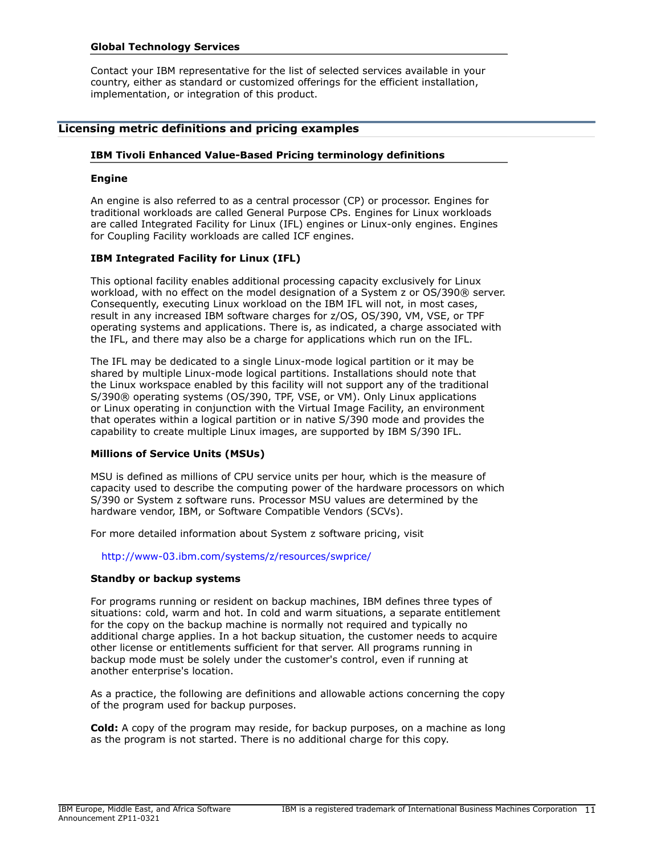### Global Technology Services

Contact your IBM representative for the list of selected services available in your country, either as standard or customized offerings for the efficient installation, implementation, or integration of this product.

### Licensing metric definitions and pricing examples

### IBM Tivoli Enhanced Value-Based Pricing terminology definitions

#### Engine

An engine is also referred to as a central processor (CP) or processor. Engines for traditional workloads are called General Purpose CPs. Engines for Linux workloads are called Integrated Facility for Linux (IFL) engines or Linux-only engines. Engines for Coupling Facility workloads are called ICF engines.

#### IBM Integrated Facility for Linux (IFL)

This optional facility enables additional processing capacity exclusively for Linux workload, with no effect on the model designation of a System z or OS/390® server. Consequently, executing Linux workload on the IBM IFL will not, in most cases, result in any increased IBM software charges for z/OS, OS/390, VM, VSE, or TPF operating systems and applications. There is, as indicated, a charge associated with the IFL, and there may also be a charge for applications which run on the IFL.

The IFL may be dedicated to a single Linux-mode logical partition or it may be shared by multiple Linux-mode logical partitions. Installations should note that the Linux workspace enabled by this facility will not support any of the traditional S/390® operating systems (OS/390, TPF, VSE, or VM). Only Linux applications or Linux operating in conjunction with the Virtual Image Facility, an environment that operates within a logical partition or in native S/390 mode and provides the capability to create multiple Linux images, are supported by IBM S/390 IFL.

#### Millions of Service Units (MSUs)

MSU is defined as millions of CPU service units per hour, which is the measure of capacity used to describe the computing power of the hardware processors on which S/390 or System z software runs. Processor MSU values are determined by the hardware vendor, IBM, or Software Compatible Vendors (SCVs).

For more detailed information about System z software pricing, visit

<http://www-03.ibm.com/systems/z/resources/swprice/>

#### Standby or backup systems

For programs running or resident on backup machines, IBM defines three types of situations: cold, warm and hot. In cold and warm situations, a separate entitlement for the copy on the backup machine is normally not required and typically no additional charge applies. In a hot backup situation, the customer needs to acquire other license or entitlements sufficient for that server. All programs running in backup mode must be solely under the customer's control, even if running at another enterprise's location.

As a practice, the following are definitions and allowable actions concerning the copy of the program used for backup purposes.

Cold: A copy of the program may reside, for backup purposes, on a machine as long as the program is not started. There is no additional charge for this copy.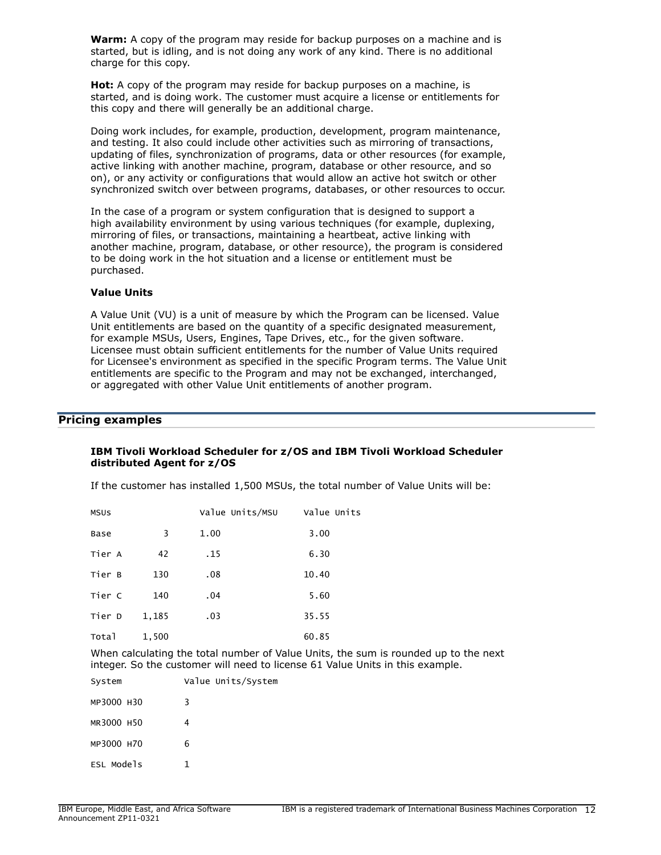**Warm:** A copy of the program may reside for backup purposes on a machine and is started, but is idling, and is not doing any work of any kind. There is no additional charge for this copy.

**Hot:** A copy of the program may reside for backup purposes on a machine, is started, and is doing work. The customer must acquire a license or entitlements for this copy and there will generally be an additional charge.

Doing work includes, for example, production, development, program maintenance, and testing. It also could include other activities such as mirroring of transactions, updating of files, synchronization of programs, data or other resources (for example, active linking with another machine, program, database or other resource, and so on), or any activity or configurations that would allow an active hot switch or other synchronized switch over between programs, databases, or other resources to occur.

In the case of a program or system configuration that is designed to support a high availability environment by using various techniques (for example, duplexing, mirroring of files, or transactions, maintaining a heartbeat, active linking with another machine, program, database, or other resource), the program is considered to be doing work in the hot situation and a license or entitlement must be purchased.

### Value Units

A Value Unit (VU) is a unit of measure by which the Program can be licensed. Value Unit entitlements are based on the quantity of a specific designated measurement, for example MSUs, Users, Engines, Tape Drives, etc., for the given software. Licensee must obtain sufficient entitlements for the number of Value Units required for Licensee's environment as specified in the specific Program terms. The Value Unit entitlements are specific to the Program and may not be exchanged, interchanged, or aggregated with other Value Unit entitlements of another program.

# Pricing examples

### IBM Tivoli Workload Scheduler for z/OS and IBM Tivoli Workload Scheduler distributed Agent for z/OS

If the customer has installed 1,500 MSUs, the total number of Value Units will be:

| <b>MSUS</b> |       | Value Units/MSU | Value Units |
|-------------|-------|-----------------|-------------|
| Base        | 3     | 1.00            | 3.00        |
| Tier A      | 42    | .15             | 6.30        |
| Tier B      | 130   | .08             | 10.40       |
| Tier C      | 140   | .04             | 5.60        |
| Tier D      | 1,185 | .03             | 35.55       |
| Total       | 1,500 |                 | 60.85       |

When calculating the total number of Value Units, the sum is rounded up to the next integer. So the customer will need to license 61 Value Units in this example.

| System     | Value Units/System |
|------------|--------------------|
| MP3000 H30 | 3                  |
| MR3000 H50 | 4                  |
| MP3000 H70 | 6                  |
| ESL Models |                    |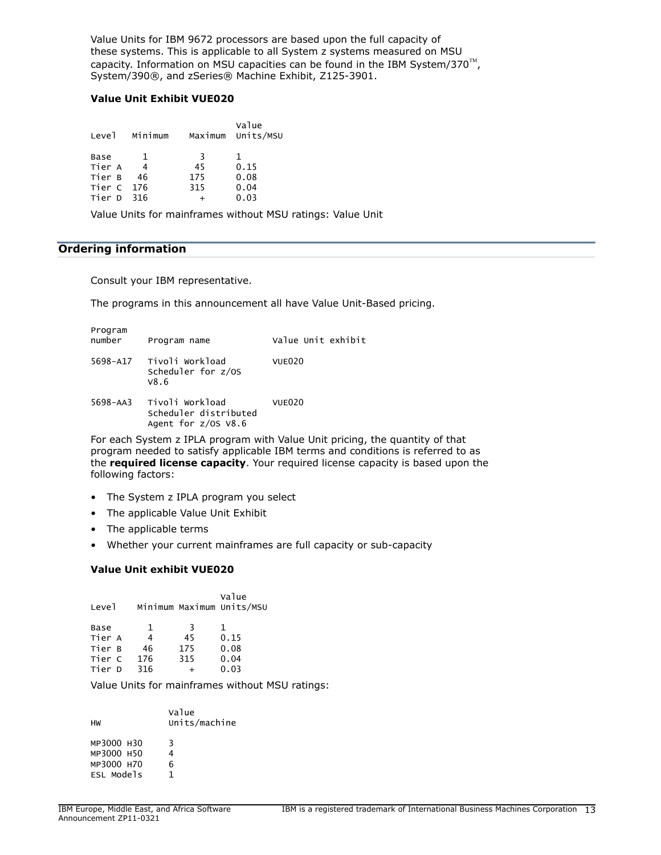Value Units for IBM 9672 processors are based upon the full capacity of these systems. This is applicable to all System z systems measured on MSU capacity. Information on MSU capacities can be found in the IBM System/370 $^{\text{TM}}$ , System/390®, and zSeries® Machine Exhibit, Z125-3901.

### Value Unit Exhibit VUE020

| Level      | Minimum |     | Value<br>Maximum Units/MSU |
|------------|---------|-----|----------------------------|
| Base       |         | 3   | 1                          |
| Tier A     | 4       | 45  | 0.15                       |
| Tier B     | 46      | 175 | 0.08                       |
| Tier C 176 |         | 315 | 0.04                       |
| Tier D     | 316     |     | 0.03                       |

Value Units for mainframes without MSU ratings: Value Unit

# <span id="page-12-0"></span>Ordering information

Consult your IBM representative.

The programs in this announcement all have Value Unit-Based pricing.

| Program<br>number | Program name                                                    | Value Unit exhibit |
|-------------------|-----------------------------------------------------------------|--------------------|
| 5698-A17          | Tivoli Workload<br>Scheduler for z/OS<br>V8.6                   | <b>VUE020</b>      |
| 5698-AA3          | Tivoli Workload<br>Scheduler distributed<br>Agent for z/OS V8.6 | VUE020             |
|                   |                                                                 |                    |

For each System z IPLA program with Value Unit pricing, the quantity of that program needed to satisfy applicable IBM terms and conditions is referred to as the **required license capacity**. Your required license capacity is based upon the following factors:

- The System z IPLA program you select
- The applicable Value Unit Exhibit
- The applicable terms
- Whether your current mainframes are full capacity or sub-capacity

# Value Unit exhibit VUE020

| Leve <sub>1</sub> |     |     | Value<br>Minimum Maximum Units/MSU |
|-------------------|-----|-----|------------------------------------|
| Base              | 1   | २   | $\mathbf{1}$                       |
| Tier A            | 4   | 45  | 0.15                               |
| Tier B            | 46  | 175 | 0.08                               |
| Tier C            | 176 | 315 | 0.04                               |
| Tier D            | 316 |     | 0.03                               |
|                   |     |     |                                    |

Value Units for mainframes without MSU ratings:

| нw         | Value<br>Units/machine |
|------------|------------------------|
| MP3000 H30 | 3                      |
| MP3000 H50 |                        |
| MP3000 H70 | 6                      |
| ESL Models |                        |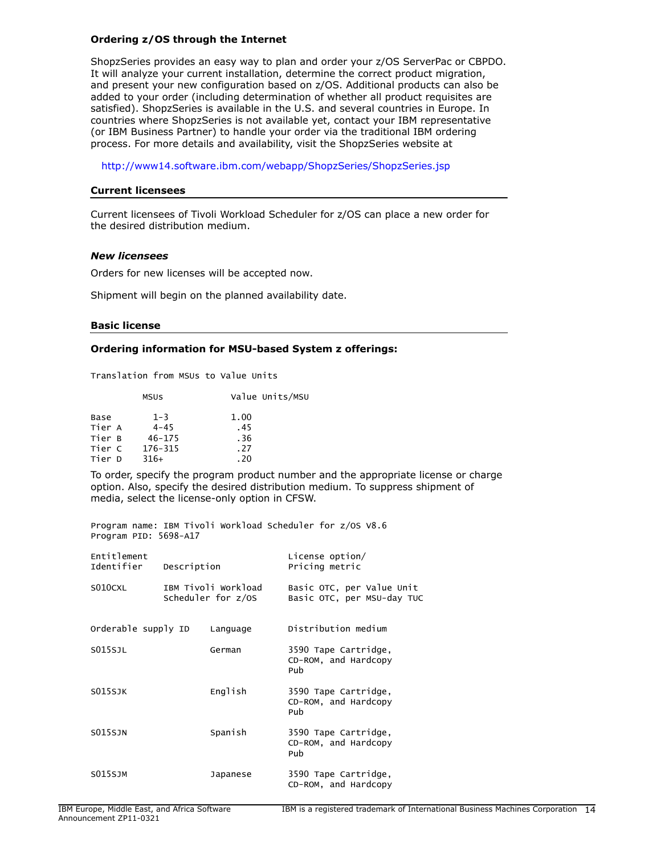### Ordering z/OS through the Internet

ShopzSeries provides an easy way to plan and order your z/OS ServerPac or CBPDO. It will analyze your current installation, determine the correct product migration, and present your new configuration based on z/OS. Additional products can also be added to your order (including determination of whether all product requisites are satisfied). ShopzSeries is available in the U.S. and several countries in Europe. In countries where ShopzSeries is not available yet, contact your IBM representative (or IBM Business Partner) to handle your order via the traditional IBM ordering process. For more details and availability, visit the ShopzSeries website at

<http://www14.software.ibm.com/webapp/ShopzSeries/ShopzSeries.jsp>

#### Current licensees

Current licensees of Tivoli Workload Scheduler for z/OS can place a new order for the desired distribution medium.

#### *New licensees*

Orders for new licenses will be accepted now.

Shipment will begin on the planned availability date.

#### Basic license

#### Ordering information for MSU-based System z offerings:

Translation from MSUs to Value Units

|        | <b>MSUS</b> | Value Units/MSU |
|--------|-------------|-----------------|
| Base   | $1 - 3$     | 1.00            |
| Tier A | $4 - 45$    | .45             |
| Tier B | $46 - 175$  | .36             |
| Tier C | 176-315     | .27             |
| Tier D | $316+$      | .20             |

To order, specify the program product number and the appropriate license or charge option. Also, specify the desired distribution medium. To suppress shipment of media, select the license-only option in CFSW.

Program name: IBM Tivoli Workload Scheduler for z/OS V8.6 Program PID: 5698-A17

| Entitlement<br>Identifier | Description |                                           | License option/<br>Pricing metric                       |
|---------------------------|-------------|-------------------------------------------|---------------------------------------------------------|
| S010CXL                   |             | IBM Tivoli Workload<br>Scheduler for z/OS | Basic OTC, per Value Unit<br>Basic OTC, per MSU-day TUC |
| Orderable supply ID       |             | Language                                  | Distribution medium                                     |
| S015SJL                   |             | German                                    | 3590 Tape Cartridge,<br>CD-ROM, and Hardcopy<br>Pub     |
| <b>S015SJK</b>            |             | English                                   | 3590 Tape Cartridge,<br>CD-ROM, and Hardcopy<br>Pub     |
| <b>S015SJN</b>            |             | Spanish                                   | 3590 Tape Cartridge,<br>CD-ROM, and Hardcopy<br>Pub     |
| <b>SO15SJM</b>            |             | Japanese                                  | 3590 Tape Cartridge,<br>CD-ROM, and Hardcopy            |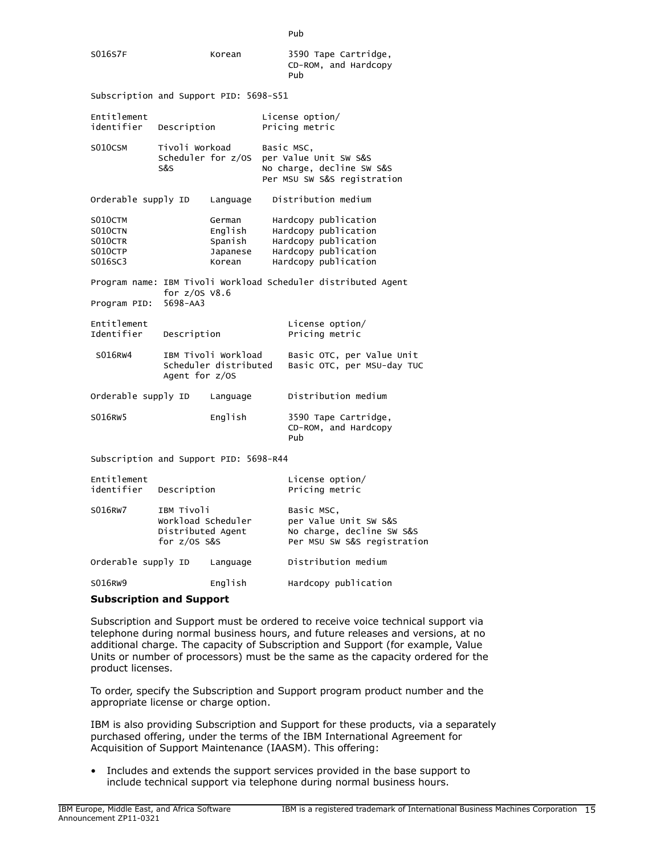| S016S7F                                             |                                                                         | Korean                                             |  | 3590 Tape Cartridge,<br>CD-ROM, and Hardcopy<br>Pub                                                                  |  |
|-----------------------------------------------------|-------------------------------------------------------------------------|----------------------------------------------------|--|----------------------------------------------------------------------------------------------------------------------|--|
| Subscription and Support PID: 5698-S51              |                                                                         |                                                    |  |                                                                                                                      |  |
| Entitlement<br>identifier<br>Description            |                                                                         | License option/<br>Pricing metric                  |  |                                                                                                                      |  |
| S010CSM                                             | Tivoli Workoad<br>Scheduler for z/0S<br>S&S                             |                                                    |  | Basic MSC,<br>per Value Unit SW S&S<br>No charge, decline SW S&S<br>Per MSU SW S&S registration                      |  |
| Orderable supply ID                                 |                                                                         | Language                                           |  | Distribution medium                                                                                                  |  |
| S010CTM<br>S010CTN<br>S010CTR<br>S010CTP<br>S016SC3 |                                                                         | German<br>English<br>Spanish<br>Japanese<br>Korean |  | Hardcopy publication<br>Hardcopy publication<br>Hardcopy publication<br>Hardcopy publication<br>Hardcopy publication |  |
|                                                     | for $z/0S$ $V8.6$                                                       |                                                    |  | Program name: IBM Tivoli Workload Scheduler distributed Agent                                                        |  |
| Program PID:                                        | $5698 - AA3$                                                            |                                                    |  |                                                                                                                      |  |
| Entitlement<br>Identifier                           | Description                                                             |                                                    |  | License option/<br>Pricing metric                                                                                    |  |
| S016RW4                                             | Agent for z/OS                                                          | IBM Tivoli Workload<br>Scheduler distributed       |  | Basic OTC, per Value Unit<br>Basic OTC, per MSU-day TUC                                                              |  |
| Orderable supply ID                                 |                                                                         | Language                                           |  | Distribution medium                                                                                                  |  |
| S016RW5                                             |                                                                         | English                                            |  | 3590 Tape Cartridge,<br>CD-ROM, and Hardcopy<br>Pub                                                                  |  |
| Subscription and Support PID: 5698-R44              |                                                                         |                                                    |  |                                                                                                                      |  |
| Entitlement<br>identifier                           | Description                                                             |                                                    |  | License option/<br>Pricing metric                                                                                    |  |
| S016RW7                                             | IBM Tivoli<br>Workload Scheduler<br>Distributed Agent<br>for $z/0s$ s&s |                                                    |  | Basic MSC,<br>per Value Unit SW S&S<br>No charge, decline SW S&S<br>Per MSU SW S&S registration                      |  |
| Orderable supply ID<br>Language                     |                                                                         |                                                    |  | Distribution medium                                                                                                  |  |
|                                                     |                                                                         |                                                    |  |                                                                                                                      |  |

SO16RW9 **English** Hardcopy publication

# Subscription and Support

Subscription and Support must be ordered to receive voice technical support via telephone during normal business hours, and future releases and versions, at no additional charge. The capacity of Subscription and Support (for example, Value Units or number of processors) must be the same as the capacity ordered for the product licenses.

To order, specify the Subscription and Support program product number and the appropriate license or charge option.

IBM is also providing Subscription and Support for these products, via a separately purchased offering, under the terms of the IBM International Agreement for Acquisition of Support Maintenance (IAASM). This offering:

• Includes and extends the support services provided in the base support to include technical support via telephone during normal business hours.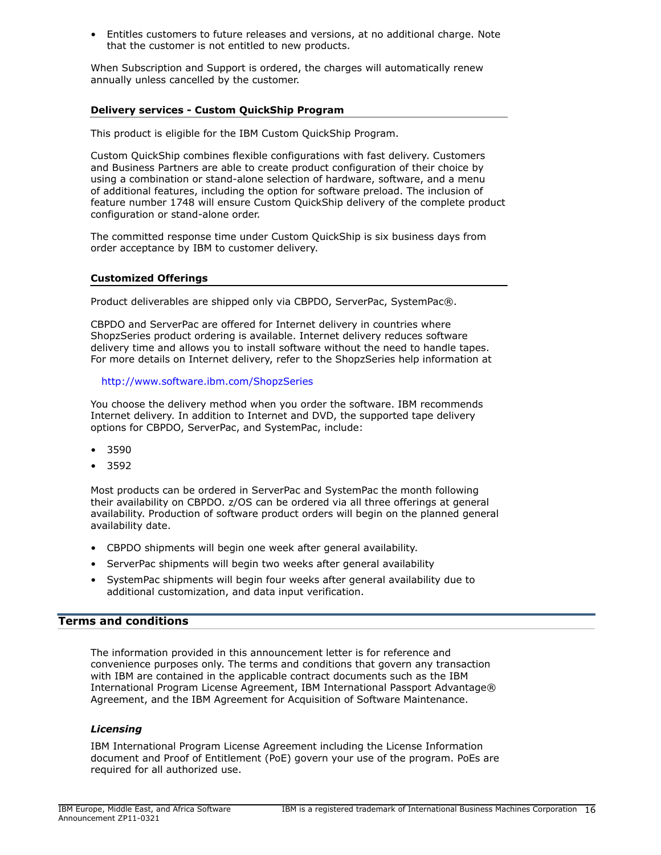• Entitles customers to future releases and versions, at no additional charge. Note that the customer is not entitled to new products.

When Subscription and Support is ordered, the charges will automatically renew annually unless cancelled by the customer.

# Delivery services - Custom QuickShip Program

This product is eligible for the IBM Custom QuickShip Program.

Custom QuickShip combines flexible configurations with fast delivery. Customers and Business Partners are able to create product configuration of their choice by using a combination or stand-alone selection of hardware, software, and a menu of additional features, including the option for software preload. The inclusion of feature number 1748 will ensure Custom QuickShip delivery of the complete product configuration or stand-alone order.

The committed response time under Custom QuickShip is six business days from order acceptance by IBM to customer delivery.

# Customized Offerings

Product deliverables are shipped only via CBPDO, ServerPac, SystemPac®.

CBPDO and ServerPac are offered for Internet delivery in countries where ShopzSeries product ordering is available. Internet delivery reduces software delivery time and allows you to install software without the need to handle tapes. For more details on Internet delivery, refer to the ShopzSeries help information at

### <http://www.software.ibm.com/ShopzSeries>

You choose the delivery method when you order the software. IBM recommends Internet delivery. In addition to Internet and DVD, the supported tape delivery options for CBPDO, ServerPac, and SystemPac, include:

- 3590
- 3592

Most products can be ordered in ServerPac and SystemPac the month following their availability on CBPDO. z/OS can be ordered via all three offerings at general availability. Production of software product orders will begin on the planned general availability date.

- CBPDO shipments will begin one week after general availability.
- ServerPac shipments will begin two weeks after general availability
- SystemPac shipments will begin four weeks after general availability due to additional customization, and data input verification.

# <span id="page-15-0"></span>Terms and conditions

The information provided in this announcement letter is for reference and convenience purposes only. The terms and conditions that govern any transaction with IBM are contained in the applicable contract documents such as the IBM International Program License Agreement, IBM International Passport Advantage® Agreement, and the IBM Agreement for Acquisition of Software Maintenance.

# *Licensing*

IBM International Program License Agreement including the License Information document and Proof of Entitlement (PoE) govern your use of the program. PoEs are required for all authorized use.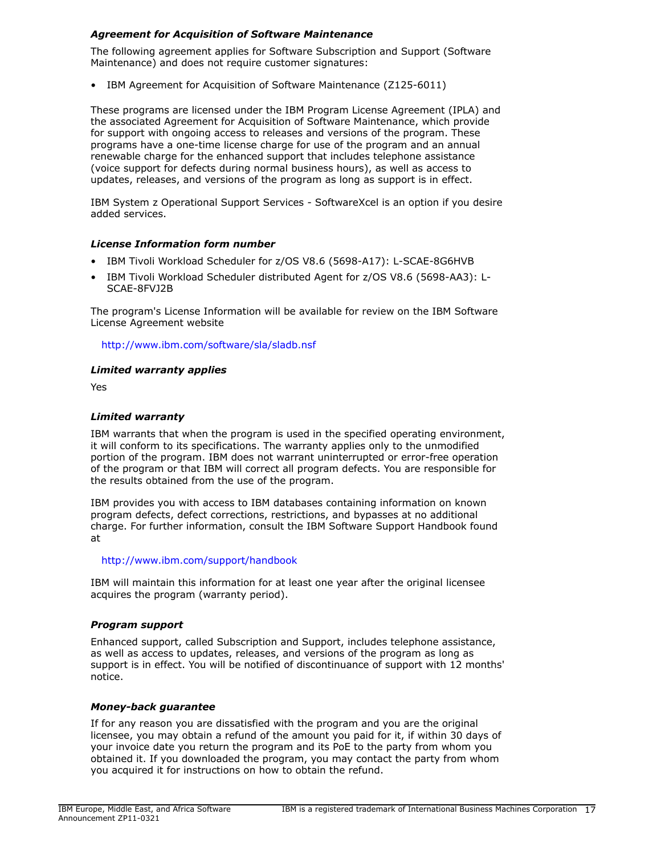# *Agreement for Acquisition of Software Maintenance*

The following agreement applies for Software Subscription and Support (Software Maintenance) and does not require customer signatures:

• IBM Agreement for Acquisition of Software Maintenance (Z125-6011)

These programs are licensed under the IBM Program License Agreement (IPLA) and the associated Agreement for Acquisition of Software Maintenance, which provide for support with ongoing access to releases and versions of the program. These programs have a one-time license charge for use of the program and an annual renewable charge for the enhanced support that includes telephone assistance (voice support for defects during normal business hours), as well as access to updates, releases, and versions of the program as long as support is in effect.

IBM System z Operational Support Services - SoftwareXcel is an option if you desire added services.

# *License Information form number*

- IBM Tivoli Workload Scheduler for z/OS V8.6 (5698-A17): L-SCAE-8G6HVB
- IBM Tivoli Workload Scheduler distributed Agent for z/OS V8.6 (5698-AA3): L-SCAE-8FVJ2B

The program's License Information will be available for review on the IBM Software License Agreement website

<http://www.ibm.com/software/sla/sladb.nsf>

# *Limited warranty applies*

Yes

# *Limited warranty*

IBM warrants that when the program is used in the specified operating environment, it will conform to its specifications. The warranty applies only to the unmodified portion of the program. IBM does not warrant uninterrupted or error-free operation of the program or that IBM will correct all program defects. You are responsible for the results obtained from the use of the program.

IBM provides you with access to IBM databases containing information on known program defects, defect corrections, restrictions, and bypasses at no additional charge. For further information, consult the IBM Software Support Handbook found at

# <http://www.ibm.com/support/handbook>

IBM will maintain this information for at least one year after the original licensee acquires the program (warranty period).

# *Program support*

Enhanced support, called Subscription and Support, includes telephone assistance, as well as access to updates, releases, and versions of the program as long as support is in effect. You will be notified of discontinuance of support with 12 months' notice.

# *Money-back guarantee*

If for any reason you are dissatisfied with the program and you are the original licensee, you may obtain a refund of the amount you paid for it, if within 30 days of your invoice date you return the program and its PoE to the party from whom you obtained it. If you downloaded the program, you may contact the party from whom you acquired it for instructions on how to obtain the refund.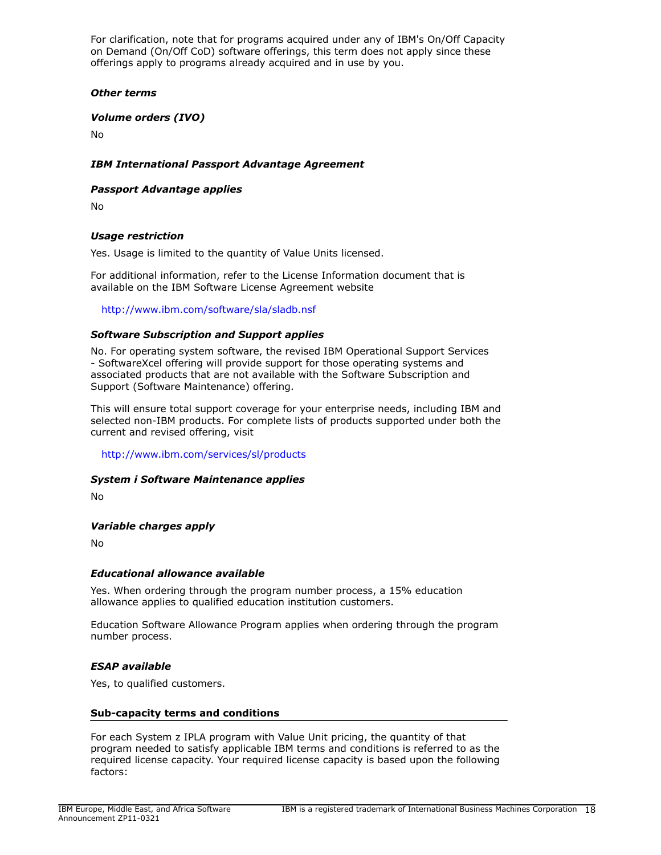For clarification, note that for programs acquired under any of IBM's On/Off Capacity on Demand (On/Off CoD) software offerings, this term does not apply since these offerings apply to programs already acquired and in use by you.

# *Other terms*

# *Volume orders (IVO)*

No

# *IBM International Passport Advantage Agreement*

# *Passport Advantage applies*

No

# *Usage restriction*

Yes. Usage is limited to the quantity of Value Units licensed.

For additional information, refer to the License Information document that is available on the IBM Software License Agreement website

<http://www.ibm.com/software/sla/sladb.nsf>

# *Software Subscription and Support applies*

No. For operating system software, the revised IBM Operational Support Services - SoftwareXcel offering will provide support for those operating systems and associated products that are not available with the Software Subscription and Support (Software Maintenance) offering.

This will ensure total support coverage for your enterprise needs, including IBM and selected non-IBM products. For complete lists of products supported under both the current and revised offering, visit

<http://www.ibm.com/services/sl/products>

# *System i Software Maintenance applies*

No

# *Variable charges apply*

No

# *Educational allowance available*

Yes. When ordering through the program number process, a 15% education allowance applies to qualified education institution customers.

Education Software Allowance Program applies when ordering through the program number process.

# *ESAP available*

Yes, to qualified customers.

# Sub-capacity terms and conditions

For each System z IPLA program with Value Unit pricing, the quantity of that program needed to satisfy applicable IBM terms and conditions is referred to as the required license capacity. Your required license capacity is based upon the following factors: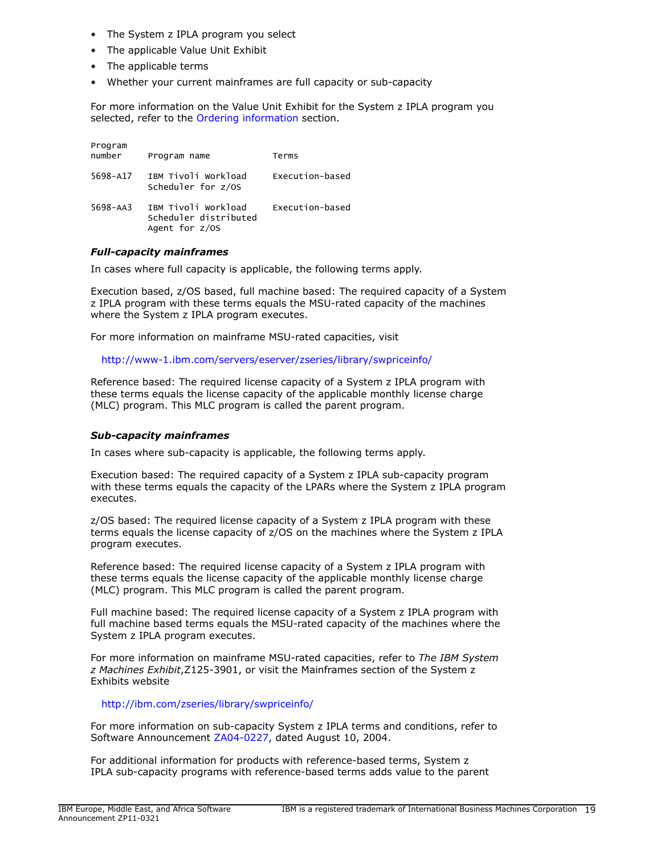- The System z IPLA program you select
- The applicable Value Unit Exhibit
- The applicable terms
- Whether your current mainframes are full capacity or sub-capacity

For more information on the Value Unit Exhibit for the System z IPLA program you selected, refer to the [Ordering information](#page-12-0) section.

| Program<br>number | Program name                                                     | Terms           |
|-------------------|------------------------------------------------------------------|-----------------|
| 5698-A17          | IBM Tivoli Workload<br>Scheduler for z/OS                        | Execution-based |
| 5698-AA3          | IBM Tivoli Workload<br>Scheduler distributed<br>Agent for $z/OS$ | Execution-based |

# *Full-capacity mainframes*

In cases where full capacity is applicable, the following terms apply.

Execution based, z/OS based, full machine based: The required capacity of a System z IPLA program with these terms equals the MSU-rated capacity of the machines where the System z IPLA program executes.

For more information on mainframe MSU-rated capacities, visit

<http://www-1.ibm.com/servers/eserver/zseries/library/swpriceinfo/>

Reference based: The required license capacity of a System z IPLA program with these terms equals the license capacity of the applicable monthly license charge (MLC) program. This MLC program is called the parent program.

# *Sub-capacity mainframes*

In cases where sub-capacity is applicable, the following terms apply.

Execution based: The required capacity of a System z IPLA sub-capacity program with these terms equals the capacity of the LPARs where the System z IPLA program executes.

z/OS based: The required license capacity of a System z IPLA program with these terms equals the license capacity of z/OS on the machines where the System z IPLA program executes.

Reference based: The required license capacity of a System z IPLA program with these terms equals the license capacity of the applicable monthly license charge (MLC) program. This MLC program is called the parent program.

Full machine based: The required license capacity of a System z IPLA program with full machine based terms equals the MSU-rated capacity of the machines where the System z IPLA program executes.

For more information on mainframe MSU-rated capacities, refer to *The IBM System z Machines Exhibit*,Z125-3901, or visit the Mainframes section of the System z Exhibits website

<http://ibm.com/zseries/library/swpriceinfo/>

For more information on sub-capacity System z IPLA terms and conditions, refer to Software Announcement [ZA04-0227,](http://www.ibm.com/common/ssi/cgi-bin/ssialias?infotype=an&subtype=ca&appname=gpateam&supplier=877&letternum=ENUSZA04-0227) dated August 10, 2004.

For additional information for products with reference-based terms, System z IPLA sub-capacity programs with reference-based terms adds value to the parent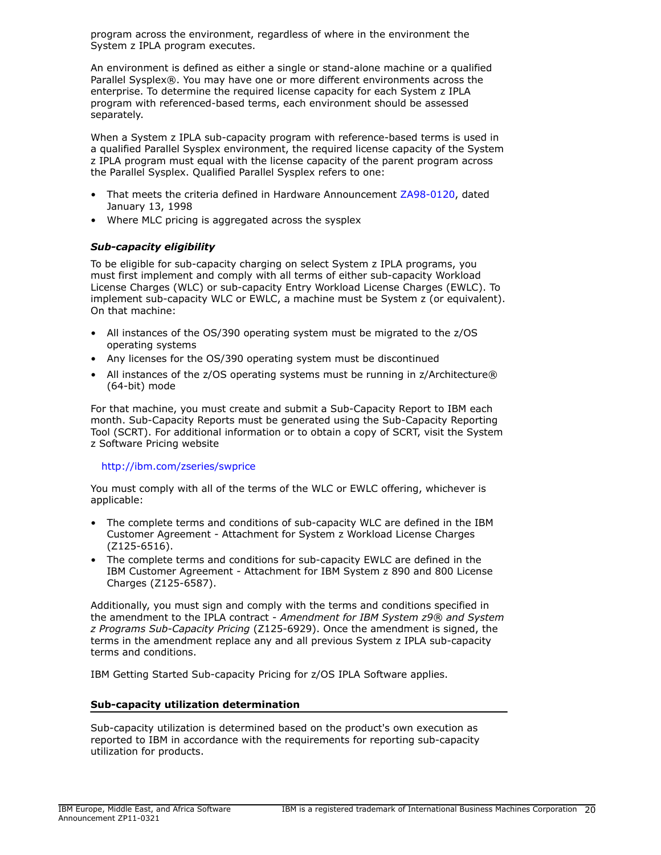program across the environment, regardless of where in the environment the System z IPLA program executes.

An environment is defined as either a single or stand-alone machine or a qualified Parallel Sysplex®. You may have one or more different environments across the enterprise. To determine the required license capacity for each System z IPLA program with referenced-based terms, each environment should be assessed separately.

When a System z IPLA sub-capacity program with reference-based terms is used in a qualified Parallel Sysplex environment, the required license capacity of the System z IPLA program must equal with the license capacity of the parent program across the Parallel Sysplex. Qualified Parallel Sysplex refers to one:

- That meets the criteria defined in Hardware Announcement [ZA98-0120,](http://www.ibm.com/common/ssi/cgi-bin/ssialias?infotype=an&subtype=ca&appname=gpateam&supplier=877&letternum=ENUSZA98-0120) dated January 13, 1998
- Where MLC pricing is aggregated across the sysplex

# *Sub-capacity eligibility*

To be eligible for sub-capacity charging on select System z IPLA programs, you must first implement and comply with all terms of either sub-capacity Workload License Charges (WLC) or sub-capacity Entry Workload License Charges (EWLC). To implement sub-capacity WLC or EWLC, a machine must be System z (or equivalent). On that machine:

- All instances of the OS/390 operating system must be migrated to the z/OS operating systems
- Any licenses for the OS/390 operating system must be discontinued
- All instances of the z/OS operating systems must be running in z/Architecture® (64-bit) mode

For that machine, you must create and submit a Sub-Capacity Report to IBM each month. Sub-Capacity Reports must be generated using the Sub-Capacity Reporting Tool (SCRT). For additional information or to obtain a copy of SCRT, visit the System z Software Pricing website

# <http://ibm.com/zseries/swprice>

You must comply with all of the terms of the WLC or EWLC offering, whichever is applicable:

- The complete terms and conditions of sub-capacity WLC are defined in the IBM Customer Agreement - Attachment for System z Workload License Charges (Z125-6516).
- The complete terms and conditions for sub-capacity EWLC are defined in the IBM Customer Agreement - Attachment for IBM System z 890 and 800 License Charges (Z125-6587).

Additionally, you must sign and comply with the terms and conditions specified in the amendment to the IPLA contract - *Amendment for IBM System z9® and System z Programs Sub-Capacity Pricing* (Z125-6929). Once the amendment is signed, the terms in the amendment replace any and all previous System z IPLA sub-capacity terms and conditions.

IBM Getting Started Sub-capacity Pricing for z/OS IPLA Software applies.

# Sub-capacity utilization determination

Sub-capacity utilization is determined based on the product's own execution as reported to IBM in accordance with the requirements for reporting sub-capacity utilization for products.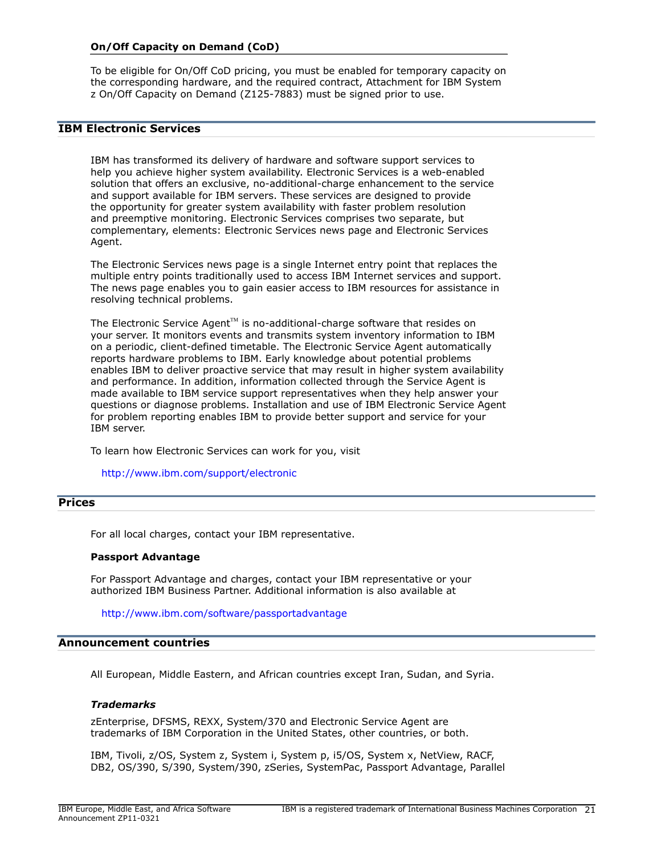### On/Off Capacity on Demand (CoD)

To be eligible for On/Off CoD pricing, you must be enabled for temporary capacity on the corresponding hardware, and the required contract, Attachment for IBM System z On/Off Capacity on Demand (Z125-7883) must be signed prior to use.

# IBM Electronic Services

IBM has transformed its delivery of hardware and software support services to help you achieve higher system availability. Electronic Services is a web-enabled solution that offers an exclusive, no-additional-charge enhancement to the service and support available for IBM servers. These services are designed to provide the opportunity for greater system availability with faster problem resolution and preemptive monitoring. Electronic Services comprises two separate, but complementary, elements: Electronic Services news page and Electronic Services Agent.

The Electronic Services news page is a single Internet entry point that replaces the multiple entry points traditionally used to access IBM Internet services and support. The news page enables you to gain easier access to IBM resources for assistance in resolving technical problems.

The Electronic Service Agent<sup> $M$ </sup> is no-additional-charge software that resides on your server. It monitors events and transmits system inventory information to IBM on a periodic, client-defined timetable. The Electronic Service Agent automatically reports hardware problems to IBM. Early knowledge about potential problems enables IBM to deliver proactive service that may result in higher system availability and performance. In addition, information collected through the Service Agent is made available to IBM service support representatives when they help answer your questions or diagnose problems. Installation and use of IBM Electronic Service Agent for problem reporting enables IBM to provide better support and service for your IBM server.

To learn how Electronic Services can work for you, visit

#### <http://www.ibm.com/support/electronic>

#### <span id="page-20-0"></span>Prices

For all local charges, contact your IBM representative.

#### Passport Advantage

For Passport Advantage and charges, contact your IBM representative or your authorized IBM Business Partner. Additional information is also available at

<http://www.ibm.com/software/passportadvantage>

#### <span id="page-20-1"></span>Announcement countries

All European, Middle Eastern, and African countries except Iran, Sudan, and Syria.

#### *Trademarks*

zEnterprise, DFSMS, REXX, System/370 and Electronic Service Agent are trademarks of IBM Corporation in the United States, other countries, or both.

IBM, Tivoli, z/OS, System z, System i, System p, i5/OS, System x, NetView, RACF, DB2, OS/390, S/390, System/390, zSeries, SystemPac, Passport Advantage, Parallel